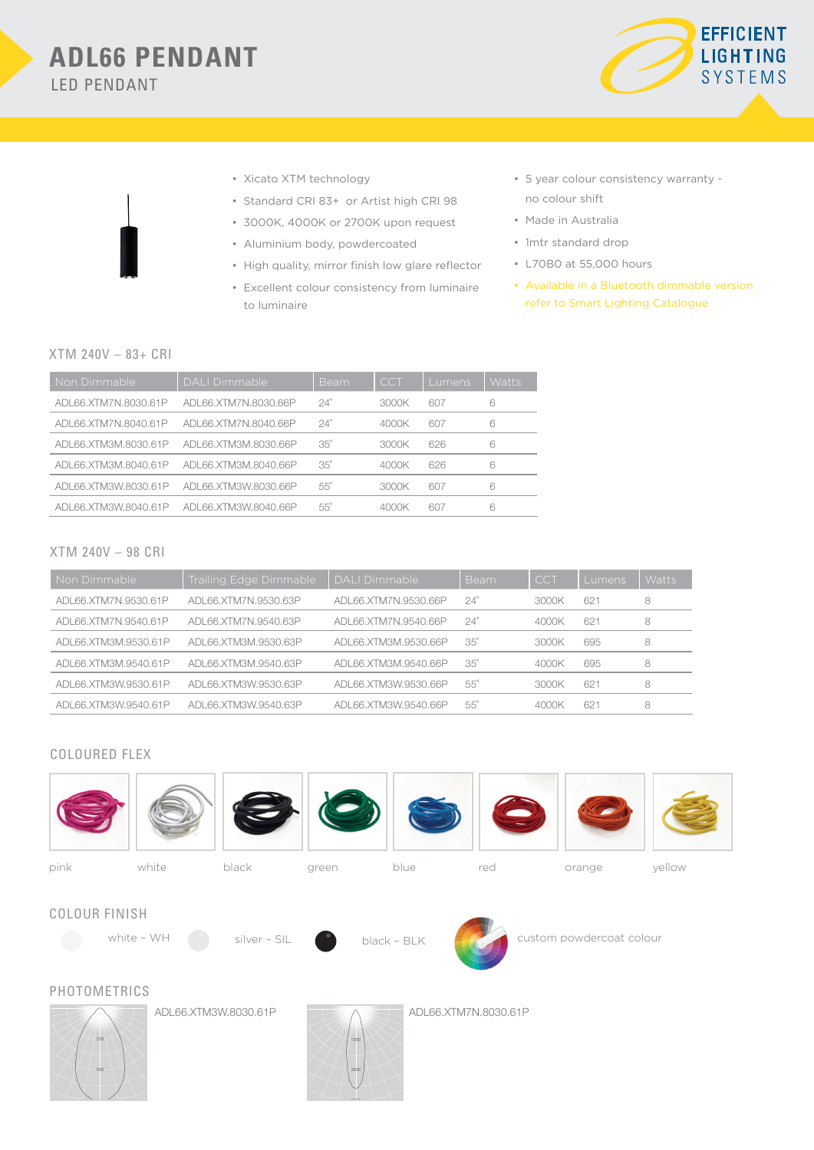

- • Xicato XTM technology
- • Standard CRI 83+ or Artist high CRI 98
- • 3000K, 4000K or 2700K upon request
- • Aluminium body, powdercoated
- • High quality, mirror finish low glare reflector
- • Excellent colour consistency from luminaire to luminaire
- • 5 year colour consistency warranty no colour shift
- • Made in Australia
- 1mtr standard drop
- • L70B0 at 55,000 hours
- • Available in a Bluetooth dimmable version refer to Smart Lighting Catalogue

## XTM 240V – 83+ CRI

| Non Dimmable         | DALI Dimmable        | Beam       | CCT   | <b>Lumens</b> | Watts |
|----------------------|----------------------|------------|-------|---------------|-------|
| ADL66.XTM7N.8030.61P | ADL66.XTM7N.8030.66P | $24^\circ$ | 3000K | 607           | 6     |
| ADL66.XTM7N.8040.61P | ADL66.XTM7N.8040.66P | $24^\circ$ | 4000K | 607           | 6     |
| ADL66.XTM3M.8030.61P | ADL66.XTM3M.8030.66P | $35^\circ$ | 3000K | 626           | 6     |
| ADL66.XTM3M.8040.61P | ADL66.XTM3M.8040.66P | $35^\circ$ | 4000K | 626           | 6     |
| ADL66.XTM3W.8030.61P | ADL66.XTM3W.8030.66P | $55^\circ$ | 3000K | 607           | 6     |
| ADL66.XTM3W.8040.61P | ADL66.XTM3W.8040.66P | $55^\circ$ | 4000K | 607           | 6     |

## XTM 240V – 98 CRI

| Non Dimmable         | Trailing Edge Dimmable | <b>DALI Dimmable</b> | <b>Beam</b> | <b>CCT</b> | Lumens | <b>Watts</b> |
|----------------------|------------------------|----------------------|-------------|------------|--------|--------------|
| ADL66.XTM7N.9530.61P | ADL66.XTM7N.9530.63P   | ADL66.XTM7N.9530.66P | $24^\circ$  | 3000K      | 621    | 8            |
| ADL66.XTM7N.9540.61P | ADL66.XTM7N.9540.63P   | ADL66.XTM7N.9540.66P | $24^\circ$  | 4000K      | 621    | 8            |
| ADL66.XTM3M.9530.61P | ADL66.XTM3M.9530.63P   | ADL66.XTM3M.9530.66P | $35^\circ$  | 3000K      | 695    | 8            |
| ADL66.XTM3M.9540.61P | ADL66.XTM3M.9540.63P   | ADL66.XTM3M.9540.66P | $35^\circ$  | 4000K      | 695    | 8            |
| ADL66.XTM3W.9530.61P | ADL66.XTM3W.9530.63P   | ADL66.XTM3W.9530.66P | $55^\circ$  | 3000K      | 621    | 8            |
| ADL66.XTM3W.9540.61P | ADL66.XTM3W.9540.63P   | ADL66.XTM3W.9540.66P | $55^\circ$  | 4000K      | 621    | 8            |

## COLOURED FLEX

750



3000